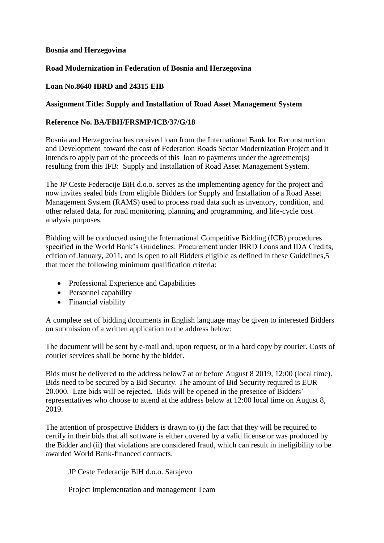# **Bosnia and Herzegovina**

# **Road Modernization in Federation of Bosnia and Herzegovina**

### **Loan No.8640 IBRD and 24315 EIB**

### **Assignment Title: Supply and Installation of Road Asset Management System**

### **Reference No. BA/FBH/FRSMP/ICB/37/G/18**

Bosnia and Herzegovina has received loan from the International Bank for Reconstruction and Development toward the cost of Federation Roads Sector Modernization Project and it intends to apply part of the proceeds of this loan to payments under the agreement(s) resulting from this IFB: Supply and Installation of Road Asset Management System.

The JP Ceste Federacije BiH d.o.o. serves as the implementing agency for the project and now invites sealed bids from eligible Bidders for Supply and Installation of a Road Asset Management System (RAMS) used to process road data such as inventory, condition, and other related data, for road monitoring, planning and programming, and life-cycle cost analysis purposes.

Bidding will be conducted using the International Competitive Bidding (ICB) procedures specified in the World Bank's Guidelines: Procurement under IBRD Loans and IDA Credits, edition of January, 2011, and is open to all Bidders eligible as defined in these Guidelines,5 that meet the following minimum qualification criteria:

- Professional Experience and Capabilities
- Personnel capability
- Financial viability

A complete set of bidding documents in English language may be given to interested Bidders on submission of a written application to the address below:

The document will be sent by e-mail and, upon request, or in a hard copy by courier. Costs of courier services shall be borne by the bidder.

Bids must be delivered to the address below7 at or before August 8 2019, 12:00 (local time). Bids need to be secured by a Bid Security. The amount of Bid Security required is EUR 20.000. Late bids will be rejected. Bids will be opened in the presence of Bidders' representatives who choose to attend at the address below at 12:00 local time on August 8, 2019.

The attention of prospective Bidders is drawn to (i) the fact that they will be required to certify in their bids that all software is either covered by a valid license or was produced by the Bidder and (ii) that violations are considered fraud, which can result in ineligibility to be awarded World Bank-financed contracts.

JP Ceste Federacije BiH d.o.o. Sarajevo

Project Implementation and management Team